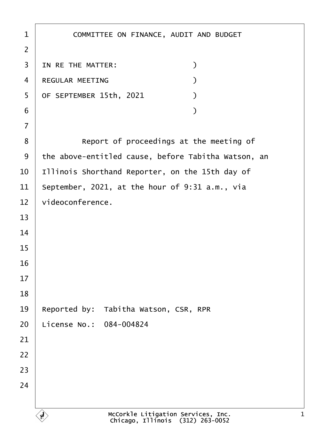| $\mathbf 1$    | COMMITTEE ON FINANCE, AUDIT AND BUDGET                                 |
|----------------|------------------------------------------------------------------------|
| $\overline{2}$ |                                                                        |
| 3              | IN RE THE MATTER:<br>$\mathcal{Y}$                                     |
| 4              | REGULAR MEETING<br>$\mathcal{Y}$                                       |
| 5              | OF SEPTEMBER 15th, 2021<br>$\mathcal{L}$                               |
| 6              | )                                                                      |
| $\overline{7}$ |                                                                        |
| 8              | Report of proceedings at the meeting of                                |
| 9              | the above-entitled cause, before Tabitha Watson, an                    |
| 10             | Illinois Shorthand Reporter, on the 15th day of                        |
| 11             | September, 2021, at the hour of 9:31 a.m., via                         |
| 12             | videoconference.                                                       |
| 13             |                                                                        |
| 14             |                                                                        |
| 15             |                                                                        |
| 16             |                                                                        |
| 17             |                                                                        |
| 18             |                                                                        |
| 19             | Reported by:<br>Tabitha Watson, CSR, RPR                               |
| 20             | License No.: 084-004824                                                |
| 21             |                                                                        |
| 22             |                                                                        |
| 23             |                                                                        |
| 24             |                                                                        |
|                |                                                                        |
|                | McCorkle Litigation Services, Inc.<br>Chicago, Illinois (312) 263-0052 |

1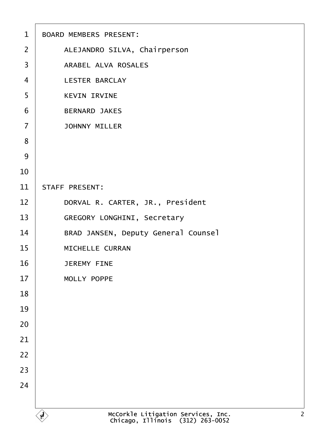| $\mathbf{1}$   | <b>BOARD MEMBERS PRESENT:</b>                                                            |
|----------------|------------------------------------------------------------------------------------------|
| $\overline{2}$ | ALEJANDRO SILVA, Chairperson                                                             |
| 3              | ARABEL ALVA ROSALES                                                                      |
| $\overline{4}$ | LESTER BARCLAY                                                                           |
| 5              | <b>KEVIN IRVINE</b>                                                                      |
| 6              | <b>BERNARD JAKES</b>                                                                     |
| $\overline{7}$ | <b>JOHNNY MILLER</b>                                                                     |
| 8              |                                                                                          |
| 9              |                                                                                          |
| 10             |                                                                                          |
| 11             | STAFF PRESENT:                                                                           |
| 12             | DORVAL R. CARTER, JR., President                                                         |
| 13             | GREGORY LONGHINI, Secretary                                                              |
| 14             | BRAD JANSEN, Deputy General Counsel                                                      |
| 15             | MICHELLE CURRAN                                                                          |
| 16             | <b>JEREMY FINE</b>                                                                       |
| 17             | MOLLY POPPE                                                                              |
| 18             |                                                                                          |
| 19             |                                                                                          |
| 20             |                                                                                          |
| 21             |                                                                                          |
| 22             |                                                                                          |
| 23             |                                                                                          |
| 24             |                                                                                          |
|                |                                                                                          |
|                | McCorkle Litigation Services, Inc.<br>Chicago, Illinois (312) 263-0052<br>$\overline{2}$ |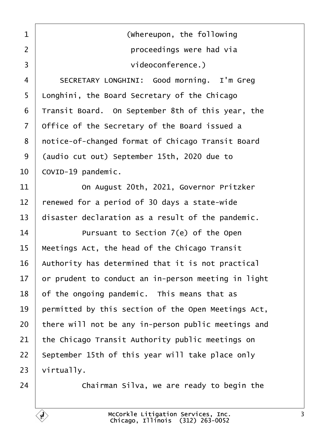<span id="page-2-0"></span>1 | **COLOREGIST (Whereupon, the following** ·2· · · · · · · · · · · ·proceedings were had via 3 | videoconference.)

4 | SECRETARY LONGHINI: Good morning. I'm Greg 5 | Longhini, the Board Secretary of the Chicago Transit Board. On September 8th of this year, the office of the Secretary of the Board issued a 8 | notice-of-changed format of Chicago Transit Board 9 (audio cut out) September 15th, 2020 due to COVID-19 pandemic.

**11** On August 20th, 2021, Governor Pritzker renewed for a period of 30 days a state-wide  $\vert$  disaster declaration as a result of the pandemic.

**If any 11 replange Pursuant to Section 7(e)** of the Open | Meetings Act, the head of the Chicago Transit | Authority has determined that it is not practical or prudent to conduct an in-person meeting in light of the ongoing pandemic. This means that as  $\parallel$  permitted by this section of the Open Meetings Act, there will not be any in-person public meetings and the Chicago Transit Authority public meetings on september 15th of this year will take place only | virtually.

 $\vert$  24  $\vert$   $\vert$  Chairman Silva, we are ready to begin the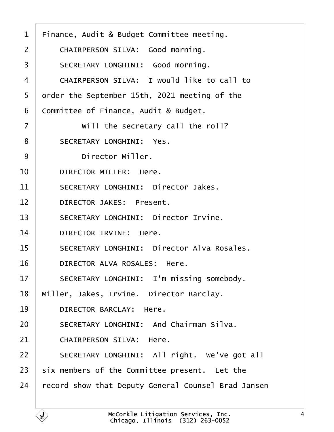<span id="page-3-0"></span>

| $\mathbf 1$    | Finance, Audit & Budget Committee meeting.          |
|----------------|-----------------------------------------------------|
| $\overline{2}$ | CHAIRPERSON SILVA: Good morning.                    |
| 3              | SECRETARY LONGHINI: Good morning.                   |
| 4              | CHAIRPERSON SILVA: I would like to call to          |
| 5              | order the September 15th, 2021 meeting of the       |
| 6              | Committee of Finance, Audit & Budget.               |
| $\overline{7}$ | will the secretary call the roll?                   |
| 8              | SECRETARY LONGHINI: Yes.                            |
| 9              | Director Miller.                                    |
| 10             | DIRECTOR MILLER: Here.                              |
| 11             | SECRETARY LONGHINI: Director Jakes.                 |
| 12             | DIRECTOR JAKES: Present.                            |
| 13             | SECRETARY LONGHINI: Director Irvine.                |
| 14             | DIRECTOR IRVINE: Here.                              |
| 15             | SECRETARY LONGHINI: Director Alva Rosales.          |
| 16             | DIRECTOR ALVA ROSALES: Here.                        |
| 17             | SECRETARY LONGHINI: I'm missing somebody.           |
| 18             | Miller, Jakes, Irvine. Director Barclay.            |
| 19             | DIRECTOR BARCLAY: Here.                             |
| 20             | SECRETARY LONGHINI: And Chairman Silva.             |
| 21             | CHAIRPERSON SILVA: Here.                            |
| 22             | SECRETARY LONGHINI: All right. We've got all        |
| 23             | six members of the Committee present. Let the       |
| 24             | record show that Deputy General Counsel Brad Jansen |
|                |                                                     |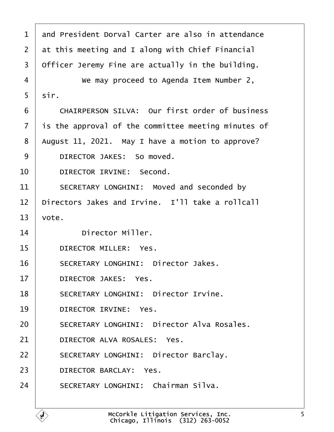<span id="page-4-0"></span>

| $\mathbf 1$    | and President Dorval Carter are also in attendance  |
|----------------|-----------------------------------------------------|
| $\overline{2}$ | at this meeting and I along with Chief Financial    |
| 3              | Officer Jeremy Fine are actually in the building.   |
| 4              | We may proceed to Agenda Item Number 2,             |
| 5              | sir.                                                |
| 6              | CHAIRPERSON SILVA: Our first order of business      |
| $\overline{7}$ | is the approval of the committee meeting minutes of |
| 8              | August 11, 2021. May I have a motion to approve?    |
| 9              | DIRECTOR JAKES: So moved.                           |
| 10             | DIRECTOR IRVINE: Second.                            |
| 11             | SECRETARY LONGHINI: Moved and seconded by           |
| 12             | Directors Jakes and Irvine. I'll take a rollcall    |
| 13             | vote.                                               |
| 14             | Director Miller.                                    |
| 15             | DIRECTOR MILLER: Yes.                               |
| 16             | SECRETARY LONGHINI: Director Jakes.                 |
| 17             | DIRECTOR JAKES: Yes.                                |
| 18             | SECRETARY LONGHINI: Director Irvine.                |
| 19             | DIRECTOR IRVINE: Yes.                               |
| 20             | SECRETARY LONGHINI: Director Alva Rosales.          |
| 21             | DIRECTOR ALVA ROSALES: Yes.                         |
| 22             | SECRETARY LONGHINI: Director Barclay.               |
| 23             | DIRECTOR BARCLAY: Yes.                              |
| 24             | SECRETARY LONGHINI: Chairman Silva.                 |
|                |                                                     |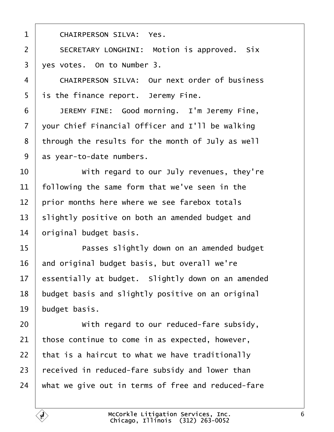2 | SECRETARY LONGHINI: Motion is approved. Six  $3 \mid$  ves votes. On to Number 3. 4 CHAIRPERSON SILVA: Our next order of business | is the finance report. Jeremy Fine. **JEREMY FINE:** Good morning. I'm Jeremy Fine, vour Chief Financial Officer and I'll be walking through the results for the month of July as well as vear-to-date numbers. **I** *with regard to our July revenues, they're*   $\parallel$  following the same form that we've seen in the  $\parallel$  prior months here where we see farebox totals slightly positive on both an amended budget and original budget basis. 15 | Passes slightly down on an amended budget and original budget basis, but overall we're essentially at budget. Slightly down on an amended budget basis and slightly positive on an original budget basis. **With regard to our reduced-fare subsidy**, those continue to come in as expected, however, | that is a haircut to what we have traditionally | received in reduced-fare subsidy and lower than what we give out in terms of free and reduced-fare McCorkle Litigation Services, Inc. Chicago, Illinois· (312) 263-0052

<span id="page-5-0"></span>1 | CHAIRPERSON SILVA: Yes.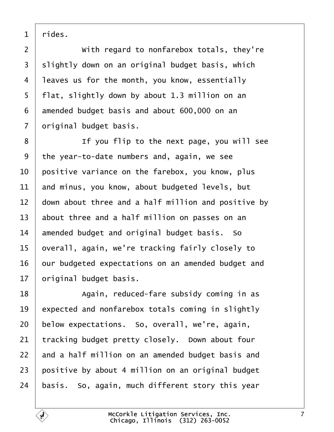<span id="page-6-0"></span>rides.

**With regard to nonfarebox totals, they're**  slightly down on an original budget basis, which leaves us for the month, you know, essentially  $5 \mid$  flat, slightly down by about 1.3 million on an amended budget basis and about 600,000 on an | original budget basis.

**I i i** If you flip to the next page, you will see 9 the year-to-date numbers and, again, we see  $\vert$  positive variance on the farebox, you know, plus and minus, you know, about budgeted levels, but down about three and a half million and positive by about three and a half million on passes on an amended budget and original budget basis. So  $\vert$  overall, again, we're tracking fairly closely to our budgeted expectations on an amended budget and original budget basis.

18· · · · · · Again, reduced-fare subsidy coming in as expected and nonfarebox totals coming in slightly below expectations. So, overall, we're, again, tracking budget pretty closely. Down about four and a half million on an amended budget basis and  $\vert$  positive by about 4 million on an original budget | basis. So, again, much different story this year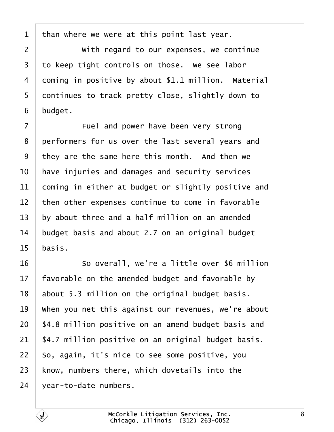<span id="page-7-0"></span>than where we were at this point last year.

**With regard to our expenses, we continue**  to keep tight controls on those. We see labor 4 | coming in positive by about \$1.1 million. Material 5 | continues to track pretty close, slightly down to | budget.

**Fuel and power have been very strong** 8 performers for us over the last several years and they are the same here this month. And then we  $\,$  have injuries and damages and security services coming in either at budget or slightly positive and  $\vert$  then other expenses continue to come in favorable by about three and a half million on an amended budget basis and about 2.7 on an original budget basis.

16 So overall, we're a little over \$6 million  $\parallel$  favorable on the amended budget and favorable by about 5.3 million on the original budget basis.  $\parallel$  when you net this against our revenues, we're about | \$4.8 million positive on an amend budget basis and | \$4.7 million positive on an original budget basis. 22 | So, again, it's nice to see some positive, you  $\vert$  know, numbers there, which dovetails into the vear-to-date numbers.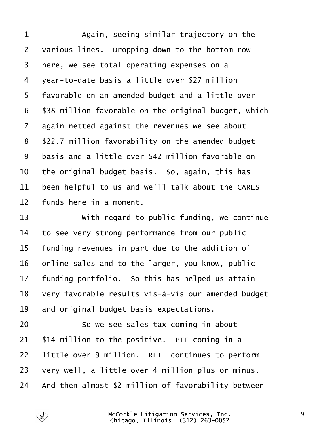<span id="page-8-0"></span>1 Again, seeing similar trajectory on the various lines. Dropping down to the bottom row | here, we see total operating expenses on a 4 vear-to-date basis a little over \$27 million 5 | favorable on an amended budget and a little over | \$38 million favorable on the original budget, which again netted against the revenues we see about | \$22.7 million favorability on the amended budget basis and a little over \$42 million favorable on  $\vert$  the original budget basis. So, again, this has been helpful to us and we'll talk about the CARES | funds here in a moment.

13 With regard to public funding, we continue to see very strong performance from our public | funding revenues in part due to the addition of online sales and to the larger, you know, public | funding portfolio. So this has helped us attain  $\mid$  very favorable results vis-à-vis our amended budget and original budget basis expectations.

**8** · So we see sales tax coming in about | \$14 million to the positive. PTF coming in a | little over 9 million. RETT continues to perform very well, a little over 4 million plus or minus.  $\vert$  And then almost \$2 million of favorability between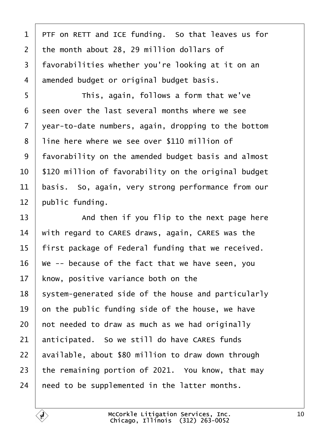<span id="page-9-0"></span> $1$  | PTF on RETT and ICE funding. So that leaves us for  $2$  the month about 28, 29 million dollars of 3 | favorabilities whether you're looking at it on an 4 amended budget or original budget basis.

·5· · · · · · This, again, follows a form that we've  $\vert$  seen over the last several months where we see vear-to-date numbers, again, dropping to the bottom 8 | line here where we see over \$110 million of 9 | favorability on the amended budget basis and almost | \$120 million of favorability on the original budget | basis. So, again, very strong performance from our public funding.

13 And then if you flip to the next page here  $\parallel$  with regard to CARES draws, again, CARES was the 15 | first package of Federal funding that we received.  $\vee$  we -- because of the fact that we have seen, you | know, positive variance both on the 18 | system-generated side of the house and particularly on the public funding side of the house, we have not needed to draw as much as we had originally anticipated. So we still do have CARES funds available, about \$80 million to draw down through 23 the remaining portion of 2021. You know, that may  $\mid$  need to be supplemented in the latter months.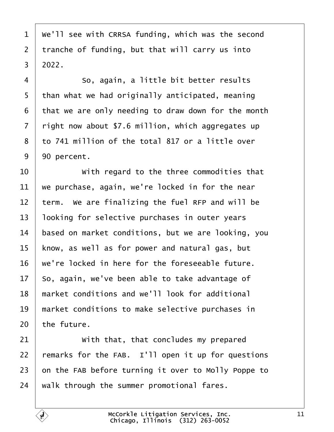<span id="page-10-0"></span>  $\mid$  We'll see with CRRSA funding, which was the second tranche of funding, but that will carry us into  $3 \mid 2022$ .

4 | So, again, a little bit better results | than what we had originally anticipated, meaning that we are only needing to draw down for the month right now about \$7.6 million, which aggregates up  $\vert$  to 741 million of the total 817 or a little over  $9 \mid 90$  percent.

  $\vert$  with regard to the three commodities that  $\vert$  we purchase, again, we're locked in for the near term. We are finalizing the fuel RFP and will be 13 | looking for selective purchases in outer years based on market conditions, but we are looking, you | know, as well as for power and natural gas, but  $\vert$  we're locked in here for the foreseeable future. so, again, we've been able to take advantage of 18 | market conditions and we'll look for additional | market conditions to make selective purchases in the future.

**With that, that concludes my prepared**  $\vert$  remarks for the FAB. I'll open it up for questions on the FAB before turning it over to Molly Poppe to walk through the summer promotional fares.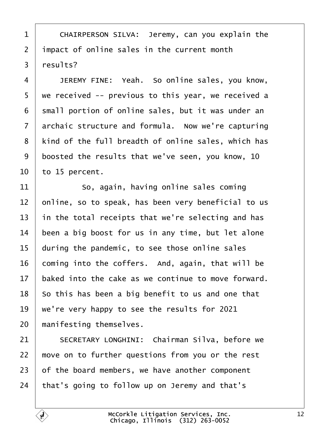<span id="page-11-0"></span>1 | CHAIRPERSON SILVA: Jeremy, can you explain the 2 | impact of online sales in the current month | results?

4 JEREMY FINE: Yeah. So online sales, you know, 5 | we received -- previous to this year, we received a 6 | small portion of online sales, but it was under an archaic structure and formula. Now we're capturing 8 | kind of the full breadth of online sales, which has boosted the results that we've seen, you know, 10 to 15 percent.

11 So, again, having online sales coming  $\vert$  online, so to speak, has been very beneficial to us  $\vert$  in the total receipts that we're selecting and has been a big boost for us in any time, but let alone during the pandemic, to see those online sales coming into the coffers. And, again, that will be baked into the cake as we continue to move forward. so this has been a big benefit to us and one that  $\vert$  we're very happy to see the results for 2021 manifesting themselves.

21 SECRETARY LONGHINI: Chairman Silva, before we  $\mid$  move on to further questions from you or the rest of the board members, we have another component that's going to follow up on Jeremy and that's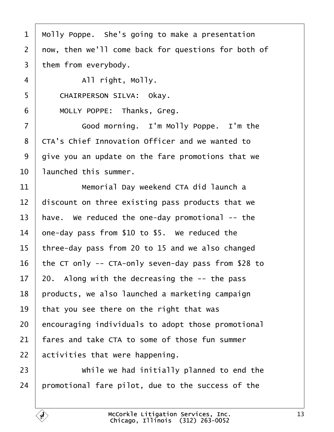<span id="page-12-0"></span>

| 1              | Molly Poppe. She's going to make a presentation     |
|----------------|-----------------------------------------------------|
| $\overline{2}$ | now, then we'll come back for questions for both of |
| $\overline{3}$ | them from everybody.                                |
| 4              | All right, Molly.                                   |
| 5              | CHAIRPERSON SILVA: Okay.                            |
| 6              | MOLLY POPPE: Thanks, Greg.                          |
| $\overline{7}$ | Good morning. I'm Molly Poppe. I'm the              |
| 8              | CTA's Chief Innovation Officer and we wanted to     |
| 9              | give you an update on the fare promotions that we   |
| 10             | launched this summer.                               |
| 11             | Memorial Day weekend CTA did launch a               |
| 12             | discount on three existing pass products that we    |
| 13             | have. We reduced the one-day promotional $-$ the    |
| 14             | one-day pass from \$10 to \$5. We reduced the       |
| 15             | three-day pass from 20 to 15 and we also changed    |
| 16             | the CT only -- CTA-only seven-day pass from \$28 to |
| 17             | 20. Along with the decreasing the $-$ - the pass    |
| 18             | products, we also launched a marketing campaign     |
| 19             | that you see there on the right that was            |
| 20             | encouraging individuals to adopt those promotional  |
| 21             | fares and take CTA to some of those fun summer      |
| 22             | activities that were happening.                     |
| 23             | while we had initially planned to end the           |
| 24             | promotional fare pilot, due to the success of the   |

 $\mathbf{F}$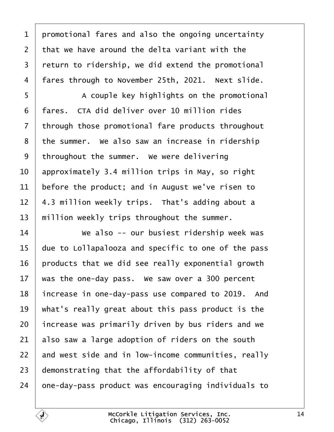<span id="page-13-0"></span> promotional fares and also the ongoing uncertainty  $\vert$  that we have around the delta variant with the return to ridership, we did extend the promotional | fares through to November 25th, 2021. Next slide.

5 | A couple key highlights on the promotional 6 | fares. CTA did deliver over 10 million rides through those promotional fare products throughout the summer. We also saw an increase in ridership throughout the summer. We were delivering approximately 3.4 million trips in May, so right before the product; and in August we've risen to | 4.3 million weekly trips. That's adding about a  $\parallel$  million weekly trips throughout the summer.

**We also -- our busiest ridership week was** 15 | due to Lollapalooza and specific to one of the pass | products that we did see really exponential growth  $\parallel$  was the one-day pass. We saw over a 300 percent 18 | increase in one-day-pass use compared to 2019. And  $\parallel$  what's really great about this pass product is the | increase was primarily driven by bus riders and we also saw a large adoption of riders on the south and west side and in low-income communities, really demonstrating that the affordability of that  $\vert$  one-day-pass product was encouraging individuals to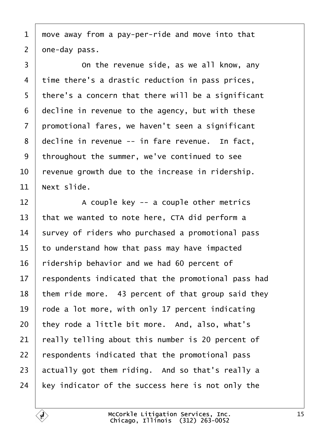<span id="page-14-0"></span> move away from a pay-per-ride and move into that  $2 \mid$  one-day pass.

3 conthe revenue side, as we all know, any time there's a drastic reduction in pass prices, | there's a concern that there will be a significant decline in revenue to the agency, but with these 7 | promotional fares, we haven't seen a significant decline in revenue -- in fare revenue. In fact, 9 | throughout the summer, we've continued to see  $\vert$  revenue growth due to the increase in ridership. Next slide.

  $\vert$  A couple key -- a couple other metrics that we wanted to note here, CTA did perform a survey of riders who purchased a promotional pass to understand how that pass may have impacted ridership behavior and we had 60 percent of respondents indicated that the promotional pass had them ride more. 43 percent of that group said they  $\vert$  rode a lot more, with only 17 percent indicating they rode a little bit more. And, also, what's  $\vert$  really telling about this number is 20 percent of respondents indicated that the promotional pass 23 actually got them riding. And so that's really a  $\vert$  key indicator of the success here is not only the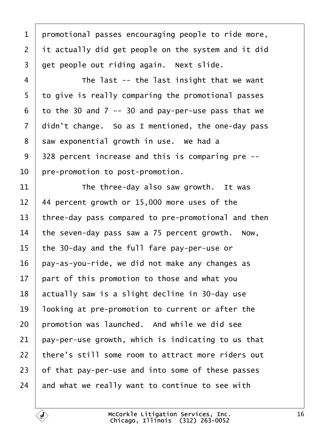<span id="page-15-0"></span> promotional passes encouraging people to ride more, it actually did get people on the system and it did  $3 \mid$  get people out riding again. Next slide.

·4· · · · · · The last -- the last insight that we want 5 to give is really comparing the promotional passes to the 30 and 7 -- 30 and pay-per-use pass that we didn't change. So as I mentioned, the one-day pass saw exponential growth in use. We had a | 328 percent increase and this is comparing pre  $-$ - $\vert$  pre-promotion to post-promotion.

  $\parallel$  The three-day also saw growth. It was | 44 percent growth or 15,000 more uses of the 13 three-day pass compared to pre-promotional and then  $\parallel$  the seven-day pass saw a 75 percent growth. Now, | the 30-day and the full fare pay-per-use or | pay-as-you-ride, we did not make any changes as art of this promotion to those and what you actually saw is a slight decline in 30-day use | looking at pre-promotion to current or after the  $\vert$  promotion was launched. And while we did see pay-per-use growth, which is indicating to us that 22 | there's still some room to attract more riders out of that pay-per-use and into some of these passes and what we really want to continue to see with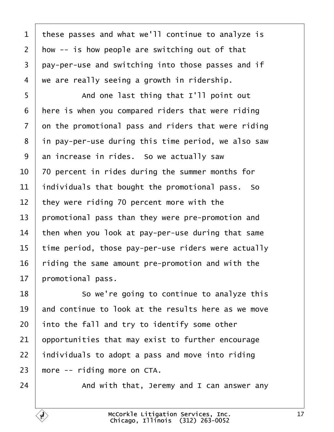<span id="page-16-0"></span>1 | these passes and what we'll continue to analyze is how  $-$  is how people are switching out of that 3 pay-per-use and switching into those passes and if  $4 \mid$  we are really seeing a growth in ridership.

5 | And one last thing that I'll point out | here is when you compared riders that were riding on the promotional pass and riders that were riding | in pay-per-use during this time period, we also saw an increase in rides. So we actually saw  $\vert$  70 percent in rides during the summer months for individuals that bought the promotional pass. So they were riding 70 percent more with the | promotional pass than they were pre-promotion and  $\parallel$  then when you look at pay-per-use during that same  $\mid$  time period, those pay-per-use riders were actually riding the same amount pre-promotion and with the | promotional pass.

**So we're going to continue to analyze this**  and continue to look at the results here as we move into the fall and try to identify some other opportunities that may exist to further encourage  $\vert$  individuals to adopt a pass and move into riding more -- riding more on CTA.

 $\vert$  and with that, Jeremy and I can answer any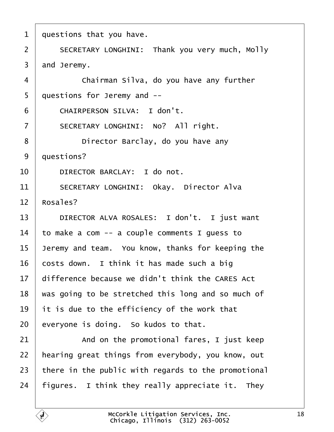<span id="page-17-0"></span>

| $\mathbf{1}$   | questions that you have.                            |
|----------------|-----------------------------------------------------|
| $\overline{2}$ | SECRETARY LONGHINI: Thank you very much, Molly      |
| $\overline{3}$ | and Jeremy.                                         |
| $\overline{4}$ | Chairman Silva, do you have any further             |
| 5              | questions for Jeremy and --                         |
| 6              | CHAIRPERSON SILVA: I don't.                         |
| $\overline{7}$ | SECRETARY LONGHINI: No? All right.                  |
| 8              | Director Barclay, do you have any                   |
| 9              | questions?                                          |
| 10             | DIRECTOR BARCLAY: I do not.                         |
| 11             | SECRETARY LONGHINI: Okay. Director Alva             |
| 12             | Rosales?                                            |
| 13             | DIRECTOR ALVA ROSALES: I don't. I just want         |
| 14             | to make a com $-$ a couple comments I guess to      |
| 15             | Jeremy and team. You know, thanks for keeping the   |
| 16             | costs down. I think it has made such a big          |
| 17             | difference because we didn't think the CARES Act    |
| 18             | was going to be stretched this long and so much of  |
| 19             | it is due to the efficiency of the work that        |
| 20             | everyone is doing. So kudos to that.                |
| 21             | And on the promotional fares, I just keep           |
| 22             | hearing great things from everybody, you know, out  |
| 23             | there in the public with regards to the promotional |
| 24             | figures. I think they really appreciate it. They    |
|                |                                                     |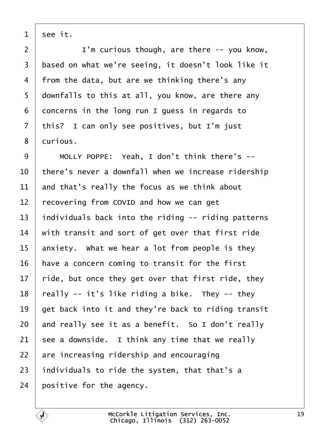<span id="page-18-0"></span>see it.

 |  $\blacksquare$   $\blacksquare$   $\blacksquare$   $\blacksquare$   $\blacksquare$   $\blacksquare$   $\blacksquare$   $\blacksquare$   $\blacksquare$   $\blacksquare$   $\blacksquare$   $\blacksquare$   $\blacksquare$   $\blacksquare$   $\blacksquare$   $\blacksquare$   $\blacksquare$   $\blacksquare$   $\blacksquare$   $\blacksquare$   $\blacksquare$   $\blacksquare$   $\blacksquare$   $\blacksquare$   $\blacksquare$   $\blacksquare$   $\blacksquare$   $\blacksquare$   $\blacksquare$   $\blacksquare$   $\blacksquare$ 3 | based on what we're seeing, it doesn't look like it 4 | from the data, but are we thinking there's any downfalls to this at all, you know, are there any concerns in the long run I guess in regards to this? I can only see positives, but I'm just 8 | curious.

  $\parallel$  MOLLY POPPE: Yeah, I don't think there's --  $\vert$  there's never a downfall when we increase ridership  $\vert$  and that's really the focus as we think about recovering from COVID and how we can get  $\parallel$  individuals back into the riding -- riding patterns  $\parallel$  with transit and sort of get over that first ride anxiety. What we hear a lot from people is they have a concern coming to transit for the first  $\mid$  ride, but once they get over that first ride, they | really -- it's like riding a bike. They -- they  $\vert$  get back into it and they're back to riding transit and really see it as a benefit. So I don't really see a downside. I think any time that we really are increasing ridership and encouraging  $\vert$  individuals to ride the system, that that's a positive for the agency.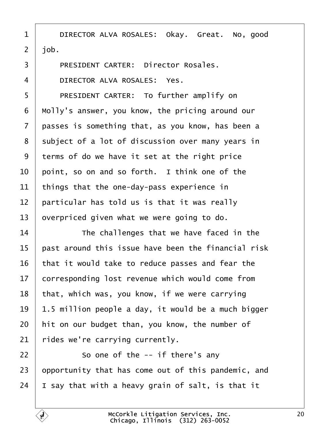<span id="page-19-0"></span>1 DIRECTOR ALVA ROSALES: Okay. Great. No, good  $2 \mid job.$ 

3 | PRESIDENT CARTER: Director Rosales.

4 DIRECTOR ALVA ROSALES: Yes.

5 | PRESIDENT CARTER: To further amplify on | Molly's answer, you know, the pricing around our  $\vert$  passes is something that, as you know, has been a 8 | subject of a lot of discussion over many years in 9 terms of do we have it set at the right price  $\vert$  point, so on and so forth. I think one of the things that the one-day-pass experience in  $\parallel$  particular has told us is that it was really overpriced given what we were going to do.

14 The challenges that we have faced in the  $\vert$  past around this issue have been the financial risk that it would take to reduce passes and fear the 17 corresponding lost revenue which would come from that, which was, you know, if we were carrying  $19 \mid 1.5$  million people a day, it would be a much bigger hit on our budget than, you know, the number of rides we're carrying currently.

 $22$  |  $\sim$  50 one of the -- if there's any 23  $\vert$  opportunity that has come out of this pandemic, and 24  $\vert$  I say that with a heavy grain of salt, is that it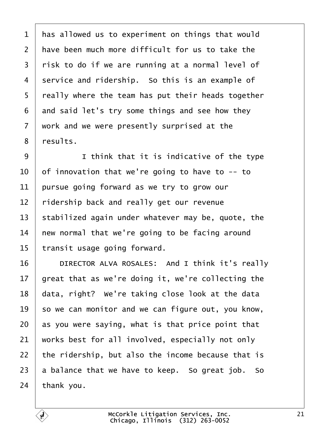<span id="page-20-0"></span> has allowed us to experiment on things that would  $\vert$  have been much more difficult for us to take the  $\mid$  risk to do if we are running at a normal level of 4 service and ridership. So this is an example of  $\mid$  really where the team has put their heads together and said let's try some things and see how they  $\vert$  work and we were presently surprised at the 8 | results.

9 I think that it is indicative of the type  $\vert$  of innovation that we're going to have to -- to pursue going forward as we try to grow our  $\vert$  ridership back and really get our revenue  $\vert$  stabilized again under whatever may be, quote, the new normal that we're going to be facing around transit usage going forward.

**DIRECTOR ALVA ROSALES:** And I think it's really  $\vert$  great that as we're doing it, we're collecting the data, right? We're taking close look at the data so we can monitor and we can figure out, you know, as you were saying, what is that price point that works best for all involved, especially not only  $\vert$  the ridership, but also the income because that is a balance that we have to keep. So great job. So thank you.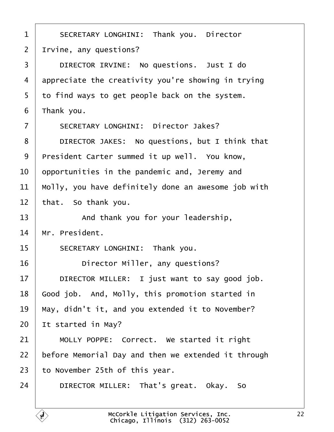<span id="page-21-0"></span>1 SECRETARY LONGHINI: Thank you. Director Irvine, any questions? 3 DIRECTOR IRVINE: No questions. Just I do appreciate the creativity you're showing in trying 5 | to find ways to get people back on the system. | Thank you. 7 | SECRETARY LONGHINI: Director Jakes? 8 DIRECTOR JAKES: No questions, but I think that 9 | President Carter summed it up well. You know,  $\vert$  opportunities in the pandemic and, Jeremy and  $\parallel$  Molly, you have definitely done an awesome job with that. So thank you. **And thank you for your leadership**,  $\parallel$  Mr. President. 15 SECRETARY LONGHINI: Thank you. **Director Miller, any questions? DIRECTOR MILLER:** I just want to say good job. Good job. And, Molly, this promotion started in | May, didn't it, and you extended it to November? It started in May? 21 | MOLLY POPPE: Correct. We started it right | before Memorial Day and then we extended it through to November 25th of this year. 24 DIRECTOR MILLER: That's great. Okay. So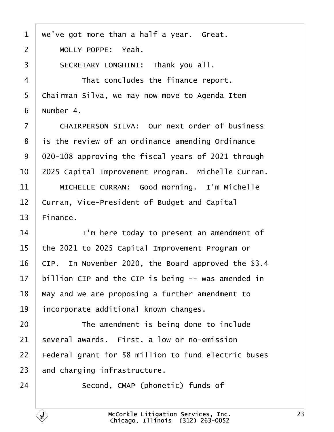<span id="page-22-0"></span> $1$  we've got more than a half a year. Great. 2 | MOLLY POPPE: Yeah. 3 SECRETARY LONGHINI: Thank you all. 4 That concludes the finance report. 5 | Chairman Silva, we may now move to Agenda Item  $6$  | Number 4. 7 CHAIRPERSON SILVA: Our next order of business  $8$  | is the review of an ordinance amending Ordinance 9 020-108 approving the fiscal years of 2021 through 10 | 2025 Capital Improvement Program. Michelle Curran. 11 | MICHELLE CURRAN: Good morning. I'm Michelle 12 Curran, Vice-President of Budget and Capital  $13$  Finance. 14 **I'm here today to present an amendment of**  $15$  | the 2021 to 2025 Capital Improvement Program or 16 | CIP. In November 2020, the Board approved the \$3.4  $17$  | billion CIP and the CIP is being  $-$  was amended in  $18$   $\mid$  May and we are proposing a further amendment to  $19$  incorporate additional known changes. 20 **The amendment is being done to include**  $21$  several awards. First, a low or no-emission 22 | Federal grant for \$8 million to fund electric buses  $23$  and charging infrastructure. 24 Second, CMAP (phonetic) funds of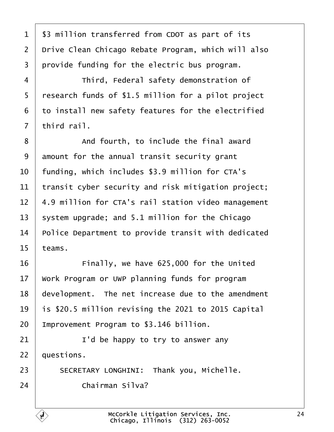<span id="page-23-0"></span>1 | \$3 million transferred from CDOT as part of its 2 | Drive Clean Chicago Rebate Program, which will also  $3$  provide funding for the electric bus program.

4 Third, Federal safety demonstration of | research funds of \$1.5 million for a pilot project to install new safety features for the electrified | third rail.

8 and fourth, to include the final award amount for the annual transit security grant  $\parallel$  funding, which includes \$3.9 million for CTA's | transit cyber security and risk mitigation project; | 4.9 million for CTA's rail station video management 13 System upgrade; and 5.1 million for the Chicago Police Department to provide transit with dedicated  $15$  teams.

16 **Finally, we have 625,000 for the United** 17 | Work Program or UWP planning funds for program 18 | development. The net increase due to the amendment 19  $\vert$  is \$20.5 million revising the 2021 to 2015 Capital  $20$  | Improvement Program to \$3.146 billion.

 $21$   $\vert$   $\vert$   $\vert$   $\vert$   $\vert$   $\vert$   $\vert$  be happy to try to answer any  $22$  auestions.

23 SECRETARY LONGHINI: Thank you, Michelle. 24· · · · · · Chairman Silva?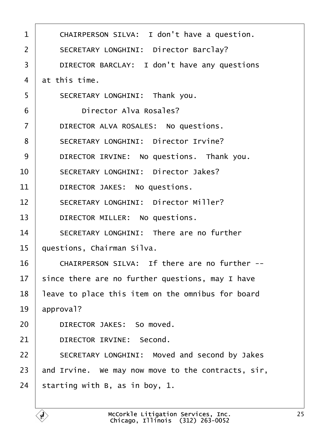<span id="page-24-0"></span>

| $\mathbf 1$    | CHAIRPERSON SILVA: I don't have a question.        |
|----------------|----------------------------------------------------|
| $\overline{2}$ | SECRETARY LONGHINI: Director Barclay?              |
| 3              | DIRECTOR BARCLAY: I don't have any questions       |
| 4              | at this time.                                      |
| 5              | SECRETARY LONGHINI: Thank you.                     |
| 6              | Director Alva Rosales?                             |
| $\overline{7}$ | DIRECTOR ALVA ROSALES: No questions.               |
| 8              | SECRETARY LONGHINI: Director Irvine?               |
| 9              | DIRECTOR IRVINE: No questions. Thank you.          |
| 10             | SECRETARY LONGHINI: Director Jakes?                |
| 11             | DIRECTOR JAKES: No questions.                      |
| 12             | SECRETARY LONGHINI: Director Miller?               |
| 13             | DIRECTOR MILLER: No questions.                     |
| 14             | SECRETARY LONGHINI: There are no further           |
| 15             | questions, Chairman Silva.                         |
| 16             | CHAIRPERSON SILVA: If there are no further --      |
| 17             | since there are no further questions, may I have   |
| 18             | leave to place this item on the omnibus for board  |
| 19             | approval?                                          |
| 20             | DIRECTOR JAKES: So moved.                          |
| 21             | DIRECTOR IRVINE: Second.                           |
| 22             | SECRETARY LONGHINI: Moved and second by Jakes      |
| 23             | and Irvine. We may now move to the contracts, sir, |
| 24             | starting with B, as in boy, 1.                     |
|                |                                                    |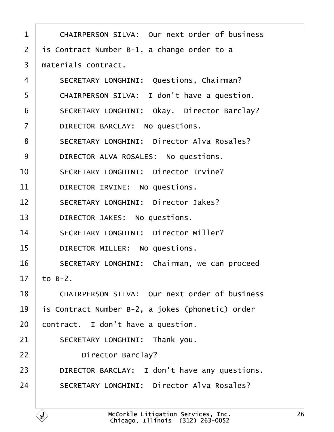<span id="page-25-0"></span>

| $\mathbf{1}$   | CHAIRPERSON SILVA: Our next order of business    |
|----------------|--------------------------------------------------|
| $\overline{2}$ | is Contract Number B-1, a change order to a      |
| 3              | materials contract.                              |
| $\overline{4}$ | SECRETARY LONGHINI: Questions, Chairman?         |
| 5              | CHAIRPERSON SILVA: I don't have a question.      |
| 6              | SECRETARY LONGHINI: Okay. Director Barclay?      |
| $\overline{7}$ | DIRECTOR BARCLAY: No questions.                  |
| 8              | SECRETARY LONGHINI: Director Alva Rosales?       |
| 9              | DIRECTOR ALVA ROSALES: No questions.             |
| 10             | SECRETARY LONGHINI: Director Irvine?             |
| 11             | DIRECTOR IRVINE: No questions.                   |
| 12             | SECRETARY LONGHINI: Director Jakes?              |
| 13             | DIRECTOR JAKES: No questions.                    |
| 14             | SECRETARY LONGHINI: Director Miller?             |
| 15             | DIRECTOR MILLER: No questions.                   |
| 16             | SECRETARY LONGHINI: Chairman, we can proceed     |
| 17             | to $B-2$ .                                       |
| 18             | CHAIRPERSON SILVA: Our next order of business    |
| 19             | is Contract Number B-2, a jokes (phonetic) order |
| 20             | contract. I don't have a question.               |
| 21             | SECRETARY LONGHINI: Thank you.                   |
| 22             | Director Barclay?                                |
| 23             | DIRECTOR BARCLAY: I don't have any questions.    |
| 24             | SECRETARY LONGHINI: Director Alva Rosales?       |
|                |                                                  |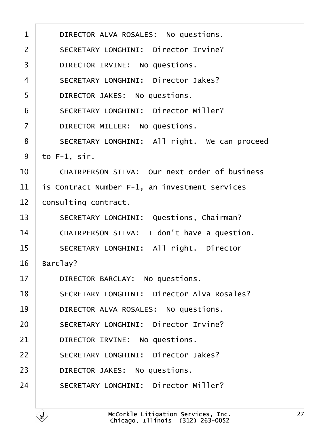<span id="page-26-0"></span>

| $\mathbf{1}$      | DIRECTOR ALVA ROSALES: No questions.           |
|-------------------|------------------------------------------------|
| $\overline{2}$    | SECRETARY LONGHINI: Director Irvine?           |
| 3                 | DIRECTOR IRVINE: No questions.                 |
| 4                 | SECRETARY LONGHINI: Director Jakes?            |
| 5                 | DIRECTOR JAKES: No questions.                  |
| 6                 | SECRETARY LONGHINI: Director Miller?           |
| $\overline{7}$    | DIRECTOR MILLER: No questions.                 |
| 8                 | SECRETARY LONGHINI: All right. We can proceed  |
| 9                 | to $F-1$ , $sir$ .                             |
| 10                | CHAIRPERSON SILVA: Our next order of business  |
| 11                | is Contract Number F-1, an investment services |
| $12 \overline{ }$ | consulting contract.                           |
| 13                | SECRETARY LONGHINI: Questions, Chairman?       |
| 14                | CHAIRPERSON SILVA: I don't have a question.    |
| 15                | SECRETARY LONGHINI: All right. Director        |
| 16                | Barclay?                                       |
| 17                | DIRECTOR BARCLAY: No questions.                |
| 18                | SECRETARY LONGHINI: Director Alva Rosales?     |
| 19                | DIRECTOR ALVA ROSALES: No questions.           |
| 20                | SECRETARY LONGHINI: Director Irvine?           |
| 21                | DIRECTOR IRVINE: No questions.                 |
| 22                | SECRETARY LONGHINI: Director Jakes?            |
| 23                | DIRECTOR JAKES: No questions.                  |
| 24                | SECRETARY LONGHINI: Director Miller?           |
|                   |                                                |

É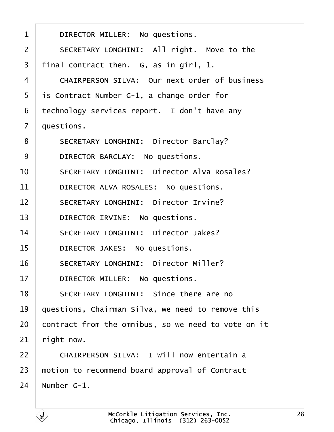<span id="page-27-0"></span>

| 1              | DIRECTOR MILLER: No questions.                      |
|----------------|-----------------------------------------------------|
| $\overline{2}$ | SECRETARY LONGHINI: All right. Move to the          |
| 3              | final contract then. G, as in girl, 1.              |
| 4              | CHAIRPERSON SILVA: Our next order of business       |
| 5              | is Contract Number G-1, a change order for          |
| 6              | technology services report. I don't have any        |
| $\overline{7}$ | questions.                                          |
| 8              | SECRETARY LONGHINI: Director Barclay?               |
| 9              | DIRECTOR BARCLAY: No questions.                     |
| 10             | SECRETARY LONGHINI: Director Alva Rosales?          |
| 11             | DIRECTOR ALVA ROSALES: No questions.                |
| 12             | SECRETARY LONGHINI: Director Irvine?                |
| 13             | DIRECTOR IRVINE: No questions.                      |
| 14             | SECRETARY LONGHINI: Director Jakes?                 |
| 15             | DIRECTOR JAKES: No questions.                       |
| 16             | SECRETARY LONGHINI: Director Miller?                |
| 17             | DIRECTOR MILLER: No questions.                      |
| 18             | SECRETARY LONGHINI: Since there are no              |
| 19             | questions, Chairman Silva, we need to remove this   |
| 20             | contract from the omnibus, so we need to vote on it |
| 21             | right now.                                          |
| 22             | CHAIRPERSON SILVA: I will now entertain a           |
| 23             | motion to recommend board approval of Contract      |
| 24             | Number G-1.                                         |
|                |                                                     |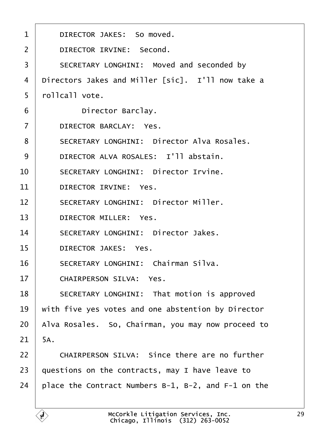<span id="page-28-0"></span>

| $\mathbf 1$    | DIRECTOR JAKES: So moved.                           |
|----------------|-----------------------------------------------------|
| $\overline{2}$ | DIRECTOR IRVINE: Second.                            |
| 3              | SECRETARY LONGHINI: Moved and seconded by           |
| 4              | Directors Jakes and Miller [sic]. I'll now take a   |
| 5              | rollcall vote.                                      |
| 6              | Director Barclay.                                   |
| $\overline{7}$ | DIRECTOR BARCLAY: Yes.                              |
| 8              | SECRETARY LONGHINI: Director Alva Rosales.          |
| 9              | DIRECTOR ALVA ROSALES: I'll abstain.                |
| 10             | SECRETARY LONGHINI: Director Irvine.                |
| 11             | DIRECTOR IRVINE: Yes.                               |
| 12             | SECRETARY LONGHINI: Director Miller.                |
| 13             | DIRECTOR MILLER: Yes.                               |
| 14             | SECRETARY LONGHINI: Director Jakes.                 |
| 15             | DIRECTOR JAKES: Yes.                                |
| 16             | SECRETARY LONGHINI: Chairman Silva.                 |
| 17             | CHAIRPERSON SILVA: Yes.                             |
| 18             | SECRETARY LONGHINI: That motion is approved         |
| 19             | with five yes votes and one abstention by Director  |
| 20             | Alva Rosales. So, Chairman, you may now proceed to  |
| 21             | 5A.                                                 |
| 22             | CHAIRPERSON SILVA: Since there are no further       |
| 23             | questions on the contracts, may I have leave to     |
| 24             | place the Contract Numbers B-1, B-2, and F-1 on the |
|                |                                                     |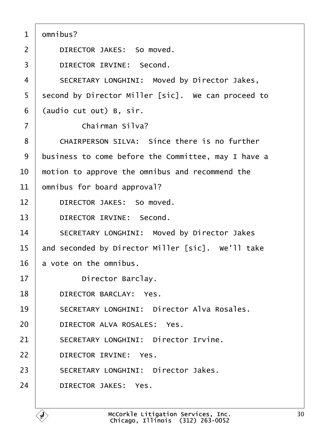<span id="page-29-0"></span>

| $\mathbf{1}$   | omnibus?                                            |
|----------------|-----------------------------------------------------|
| $\overline{2}$ | DIRECTOR JAKES: So moved.                           |
| 3              | DIRECTOR IRVINE: Second.                            |
| 4              | SECRETARY LONGHINI: Moved by Director Jakes,        |
| 5              | second by Director Miller [sic]. We can proceed to  |
| 6              | (audio cut out) B, sir.                             |
| $\overline{7}$ | Chairman Silva?                                     |
| 8              | CHAIRPERSON SILVA: Since there is no further        |
| 9              | business to come before the Committee, may I have a |
| 10             | motion to approve the omnibus and recommend the     |
| 11             | omnibus for board approval?                         |
| 12             | DIRECTOR JAKES: So moved.                           |
| 13             | DIRECTOR IRVINE: Second.                            |
| 14             | SECRETARY LONGHINI: Moved by Director Jakes         |
| 15             | and seconded by Director Miller [sic]. We'll take   |
| 16             | a vote on the omnibus.                              |
| 17             | Director Barclay.                                   |
| 18             | DIRECTOR BARCLAY: Yes.                              |
| 19             | SECRETARY LONGHINI: Director Alva Rosales.          |
| 20             | DIRECTOR ALVA ROSALES: Yes.                         |
| 21             | SECRETARY LONGHINI: Director Irvine.                |
| 22             | DIRECTOR IRVINE: Yes.                               |
| 23             | SECRETARY LONGHINI: Director Jakes.                 |
| 24             | DIRECTOR JAKES: Yes.                                |
|                |                                                     |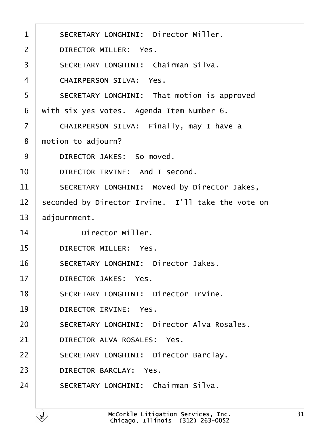<span id="page-30-0"></span>

| $\mathbf{1}$   | SECRETARY LONGHINI: Director Miller.               |  |  |  |  |
|----------------|----------------------------------------------------|--|--|--|--|
| $\overline{2}$ | DIRECTOR MILLER: Yes.                              |  |  |  |  |
| 3              | SECRETARY LONGHINI: Chairman Silva.                |  |  |  |  |
| 4              | CHAIRPERSON SILVA: Yes.                            |  |  |  |  |
| 5              | SECRETARY LONGHINI: That motion is approved        |  |  |  |  |
| 6              | with six yes votes. Agenda Item Number 6.          |  |  |  |  |
| $\overline{7}$ | CHAIRPERSON SILVA: Finally, may I have a           |  |  |  |  |
| 8              | motion to adjourn?                                 |  |  |  |  |
| 9              | DIRECTOR JAKES: So moved.                          |  |  |  |  |
| 10             | DIRECTOR IRVINE: And I second.                     |  |  |  |  |
| 11             | SECRETARY LONGHINI: Moved by Director Jakes,       |  |  |  |  |
| 12             | seconded by Director Irvine. I'll take the vote on |  |  |  |  |
| 13             | adjournment.                                       |  |  |  |  |
| 14             | Director Miller.                                   |  |  |  |  |
| 15             | DIRECTOR MILLER: Yes.                              |  |  |  |  |
| 16             | SECRETARY LONGHINI: Director Jakes.                |  |  |  |  |
| 17             | DIRECTOR JAKES: Yes.                               |  |  |  |  |
| 18             | SECRETARY LONGHINI: Director Irvine.               |  |  |  |  |
| 19             | DIRECTOR IRVINE: Yes.                              |  |  |  |  |
| 20             | SECRETARY LONGHINI: Director Alva Rosales.         |  |  |  |  |
| 21             | DIRECTOR ALVA ROSALES: Yes.                        |  |  |  |  |
| 22             | SECRETARY LONGHINI: Director Barclay.              |  |  |  |  |
| 23             | DIRECTOR BARCLAY: Yes.                             |  |  |  |  |
| 24             | SECRETARY LONGHINI: Chairman Silva.                |  |  |  |  |
|                |                                                    |  |  |  |  |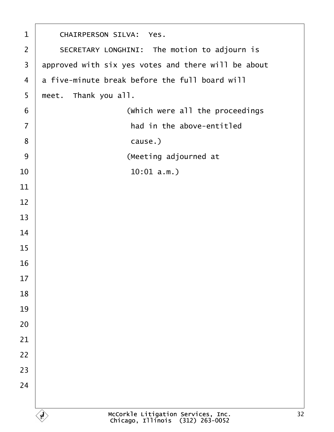<span id="page-31-0"></span>

| $\mathbf{1}$            | CHAIRPERSON SILVA: Yes.                                                |  |  |  |  |  |
|-------------------------|------------------------------------------------------------------------|--|--|--|--|--|
| $\overline{2}$          | SECRETARY LONGHINI: The motion to adjourn is                           |  |  |  |  |  |
| $\overline{\mathbf{3}}$ | approved with six yes votes and there will be about                    |  |  |  |  |  |
| 4                       | a five-minute break before the full board will                         |  |  |  |  |  |
| 5                       | meet. Thank you all.                                                   |  |  |  |  |  |
| 6                       | (which were all the proceedings                                        |  |  |  |  |  |
| $\overline{7}$          | had in the above-entitled                                              |  |  |  |  |  |
| 8                       | cause.)                                                                |  |  |  |  |  |
| 9                       | (Meeting adjourned at                                                  |  |  |  |  |  |
| 10                      | 10:01 a.m.                                                             |  |  |  |  |  |
| 11                      |                                                                        |  |  |  |  |  |
| 12                      |                                                                        |  |  |  |  |  |
| 13                      |                                                                        |  |  |  |  |  |
| 14                      |                                                                        |  |  |  |  |  |
| 15                      |                                                                        |  |  |  |  |  |
| 16                      |                                                                        |  |  |  |  |  |
| 17                      |                                                                        |  |  |  |  |  |
| 18                      |                                                                        |  |  |  |  |  |
| 19                      |                                                                        |  |  |  |  |  |
| 20                      |                                                                        |  |  |  |  |  |
| 21                      |                                                                        |  |  |  |  |  |
| 22                      |                                                                        |  |  |  |  |  |
| 23                      |                                                                        |  |  |  |  |  |
| 24                      |                                                                        |  |  |  |  |  |
|                         |                                                                        |  |  |  |  |  |
|                         | McCorkle Litigation Services, Inc.<br>Chicago, Illinois (312) 263-0052 |  |  |  |  |  |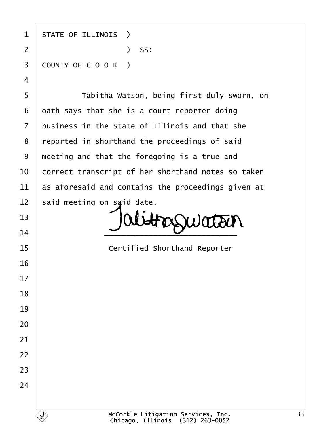1 | STATE OF ILLINOIS ) ·2· · · · · · · · · · · )· SS: 3 COUNTY OF C O O K ) 5 | Tabitha Watson, being first duly sworn, on oath says that she is a court reporter doing business in the State of Illinois and that she 8 | reported in shorthand the proceedings of said

 said meeting on said date. FOSSWATOUN  $\overline{\phantom{a}14}$   $\overline{\phantom{a}14}$ 

**If the State of Certified Shorthand Reporter**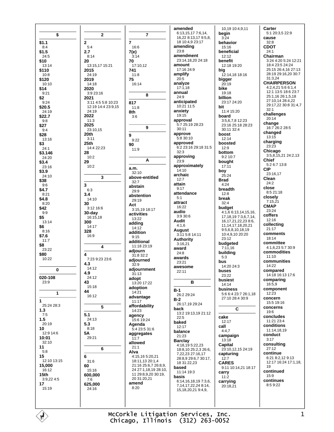|                       |                            |                                         | amended                                    |
|-----------------------|----------------------------|-----------------------------------------|--------------------------------------------|
| \$                    | $\mathbf{2}$               | 7                                       | 6:13,15,17 7:6,14,                         |
|                       |                            |                                         | 16,22 8:13,17 9:5,8,                       |
| \$1.1                 | $\mathbf{2}$               | 7                                       | 18 10:4,9 23:17<br>amending                |
| 8:4<br>\$1.5          | 5:4<br>2.7                 | 16:6<br>7(e)                            | 23:8                                       |
| 24:5                  | 8:14                       | 3:14                                    | amendment                                  |
| \$10                  | 20                         | 70                                      | 23:14,18,20 24:18                          |
| 13:14                 | 13:15,17 15:21             | 17:10,12                                | amount                                     |
| \$110                 | 2015                       | 741                                     | 17:16 24:9<br>amplify                      |
| 10:8<br>\$120         | 24:19<br>2019              | 11:8<br>75                              | 20:5                                       |
| 10:10                 | 14:18                      | 16:14                                   | analyze                                    |
| \$14                  | 2020                       |                                         | 17:1,18                                    |
| 9:21                  | 3:9 23:16                  | 8                                       | annual<br>24:9                             |
| \$2<br>9:24           | 2021<br>3:11 4:5 5:8 10:23 |                                         | anticipated                                |
| \$20.5                | 12:19 14:4 23:9,15         | 817<br>11:8                             | 10:21 11:5                                 |
| 24:19                 | 24:19                      | 8th                                     | anxiety                                    |
| \$22.7                | 2022                       | 3:6                                     | 19:15                                      |
| 9:8                   | 11:3                       |                                         | approval<br>5:7 25:19 28:23                |
| \$27<br>9:4           | 2025<br>23:10,15           | 9                                       | 30:11                                      |
| \$28                  | 20th                       | 9                                       | approve                                    |
| 13:16                 | 3:11                       | 9:22                                    | 5:8 30:10                                  |
| \$3                   | 25th                       | 90                                      | approved                                   |
| 24:1                  | 14:4 22:23<br>28           | 11:9                                    | 6:2 23:16 29:18 31:5<br>32:3               |
| \$3.146<br>24:20      | 10:2                       |                                         | approving                                  |
| \$3.4                 | 29                         | A                                       | 23:9                                       |
| 23:16                 | 10:2                       | a.m.                                    | approximately                              |
| \$3.9                 |                            | 32:10                                   | 14:10<br>archaic                           |
| 24:10<br>\$38         | 3                          | above-entitled                          | 12:7                                       |
| 9:6                   | 3                          | 32:7<br>abstain                         | attain                                     |
| \$4.7                 | 6:3                        | 29:9                                    | 9:17                                       |
| 8:21                  | 3.4                        | abstention                              | attendance<br>5:1                          |
| \$4.8                 | 14:10                      | 29:19                                   | attract                                    |
| 8:20<br>\$42          | 30<br>3:12 16:6            | Act                                     | 16:22                                      |
| 9:9                   | 30-day                     | 3:15,19 18:17<br>activities             | audio                                      |
| \$5                   | 16:15,18                   | 13:22                                   | 3:9 30:6                                   |
| 13:14                 | 300                        | adding                                  | Audit<br>4:1,6                             |
| \$6<br>8:16           | 14:17<br>328               | 14:12                                   | August                                     |
| \$7.6                 | 16:9                       | addition<br>9:15                        | 3:11 5:8 14:11                             |
| 11:7                  |                            | additional                              | <b>Authority</b>                           |
| \$8                   | 4                          | 11:18 23:19                             | 3:16,21<br>award                           |
| 23:22<br>\$80         |                            | adjourn                                 | 24:8                                       |
| 10:22                 | 4<br>7:23 9:23 23:6        | 31:8 32:2                               | awards                                     |
|                       | 4.3                        | adjourned<br>32:9                       | 23:21                                      |
| 0                     | 14:12                      | adjournment                             | awesome                                    |
|                       | 4.9                        | 31:13                                   | 22:11                                      |
| 020-108<br>23:9       | 24:12<br>43                | adopt                                   | в                                          |
|                       | 15:18                      | 13:20 17:22<br>adoption                 |                                            |
| 1                     | 44                         | 14:21                                   | B-1                                        |
|                       | 16:12                      | advantage                               | 26:2 29:24                                 |
| 1                     |                            | 11:17                                   | B-2<br>26:17,19 29:24                      |
| 25:24 28:3<br>1.3     | 5                          | affordability                           | back                                       |
| 7:5                   | 5.1                        | 14:23                                   | 13:2 19:13,19 21:12                        |
| 1.5                   | 24:13                      | agency<br>15:6 19:24                    | 22:5                                       |
| 20:19                 | 5.3                        | Agenda                                  | baked<br>12:17                             |
| 10                    | 8:18                       | 5:4 23:5 31:6                           | balance                                    |
| 12:9 14:6<br>10:01    | 5Α<br>29:21                | aggregates<br>11:7                      | 21:23                                      |
| 32:10                 |                            | allowed                                 | <b>Barclay</b>                             |
| 11                    | 6                          | 21:1                                    | 4:18,19 5:22,23                            |
| 5:8                   |                            | Alva                                    | 18:8, 10 25:2, 3 26:6,<br>7,22,23 27:16,17 |
| 15                    | 6                          | 4:15,16 5:20,21                         | 28:8,9 29:6,7 30:17,                       |
| 12:10 13:15<br>15,000 | 31:6<br>60                 | 18:11,13 20:1,4<br>21:16 25:6,7 26:8,9, | 18 31:22,23                                |
| 16:12                 | 15:16                      | 24 27:1,18,19 28:10,                    | based                                      |
| 15th                  | 600,000                    | 11 29:8,9,20 30:19,                     | 11:14 19:3<br>basis                        |
| 3:9,22 4:5            | 7:6                        | 20 31:20,21                             | 6:14,16,18,19 7:3,6,                       |
| 17                    | 625,000                    | amend<br>8:20                           | 7,14,17,22,24 8:14,                        |
| 15:19                 | 24:16                      |                                         | 15, 18, 20, 21 9: 4, 9,                    |
|                       |                            |                                         |                                            |
|                       |                            |                                         |                                            |
|                       |                            |                                         |                                            |

10,19 10:4,9,11 begin behavior  $32.8$  $15.16$ beneficial  $24:1$  $12:12$ benefit 12:18 19:20 12:14,18 18:16 bigger  $20:19$  $19.18$ billion 23:17 24:20  $32:1$ 11:4 15:20 board 3:5,6,7,8 12:23 23:16 25:18 28:23 30:11 32:4 boost  $12:14$ boosted bottom 9:2 10:7 Chief bought  $17:11$ **CIP**  $25:24$  $24:2$ close breadth budget 4:1,6 6:13,14,15,16, 17, 18, 19 7: 3, 6, 7, 14, 16, 17, 21, 22, 23 8:6, 11.14.17.18.20.21 9:5.6.8.10.18.19 10:4,9,10 20:20 23:12 budgeted  $7:11,16$ building 14:20 24:3 buses 23:22 husiest 14:14 business 5:6 6:4 23:7 26:1,18 27:10 28:4 30:9  $\overline{c}$  $19:6$ 12:17 campaign  $3:17$ 13:18 Capital 23:10,12,15 24:19 capturing **CARES**  $19$ 9:11 10:14,21 18:17 15:9 carrying 20:18,21

 $3.24$ 

big

bike

bit

 $12:9$ 

boy

**Brad** 

 $4:24$ 

 $12.8$ 

break

 $5:3$ 

bus

cake

call  $4:4,7$ 

 $12:7$ 

carry

 $11:2$ 

 $32:4$ 

Carter 5:1 20:3,5 22:9 cause CDOT Chairman 3:24 4:20 5:24 12:21 18:4 23:5 24:24 25:15 26:4,16 27:13 28:19 29:16,20 30:7  $31:3.24$ **CHAIRPERSON** 4:2,4,21 5:6 6:1,4 12:1 13:5 18:6 23:7 25:1,16 26:1,5,18 27:10,14 28:4,22 29:17,22 30:8 31:4,7 challenges  $20:14$ change 16:7 26:2 28:5 changed  $13:15$ charging  $23:23$ Chicago 3:5,8,15,21 24:2,13 5:2 6:7 13:8 23:16,17 Clean 8:5 21:18 closely  $7:15,21$ **CMAP** 23:24 coffers 12:16 collecting  $21:17$ comments 18:14 committee 4:1,6,23 5:7 30:9 commodities  $11:10$ communities  $14.22$ compared 14:18 16:13 17:6 comparing  $16.59$ component  $12:23$ concern 15:5 19:16 concerns concludes 11:21 23:4 conditions 11:14,18,19 conduct consulting  $27:12$ continue 6:21 8:2,12 9:13 12:17 16:24 17:1,18, continued continues  $8:59:22$ 

McCorkle Litigation Services, Inc. Chicago, Illinois (312) 263-0052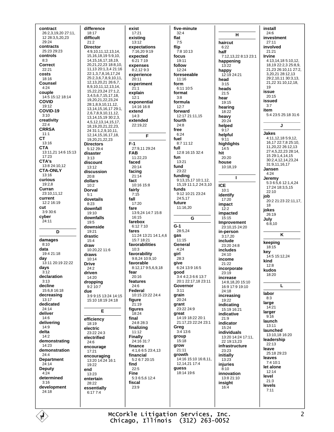contract 26:2,3,19,20 27:11, 12 28:3,5,20,23 29:24 contracts  $25.23.29.23$ controls  $8:3$ Correct  $22.21$ costs 18:16 Counsel  $4:24$ couple 14:5 15:12 18:14 **COVID** 19:12 COVID-19  $3:10$ creativity  $22.4$ **CRRSA**  $11:1$ **CT**  $13.16$ **CTA** 13:11,21 14:6 15:13  $17.23$ CTA's 13:8 24:10,12 **CTA-ONLY**  $13.16$ curious 19:2,8 Curran 23:10.11.12 current 12:2 16:19 cut 3:9 30:6 cyber  $24:11$ D damages  $8:10$ data 19:4 21:18 day 13:11 20:19 22:22 days  $3:12$ declaration  $3.13$ decline 15:6.8 16:18 decreasing 13:17 dedicated  $24.14$ deliver 14:6 delivering  $14:9$ delta  $14:2$ demonstrating 14:23 demonstration  $24:4$ **Department**  $24:14$ **Deputy**  $4:24$ determined  $3.16$ development  $24:18$ 

difference 18:17 difficult  $21.2$ **Director** 4:9,10,11,12,13,14, 15, 16, 18, 19 5: 9, 10, 14, 15, 16, 17, 18, 19, 20,21,22,23 18:8,10, 11,13 20:1,3,4 21:16 22:1,3,7,8,16,17,24 25:2,3,6,7,8,9,10,11, 12, 13, 20, 21 26: 6, 7, 8,9,10,11,12,13,14, 15,22,23,24 27:1,2, 3,4,5,6,7,15,17,18, 19, 20, 21, 22, 23, 24 28.1 8 9 10 11 12 13.14.15.16.17 29:1. 2.6.7.8.9.10.11.12. 13, 14, 15, 19 30: 2, 3, 4.5.12.13.14.15.17. 18, 19, 20, 21, 22, 23, 24 31:1,2,9,10,11, 12, 14, 15, 16, 17, 18, 19,20,21,22,23 **Directors** 5:12 29:4 disaster  $3.13$ discount  $13.12$ discussion  $20.8$ dollars  $10:2$ Dorval  $5.1$ dovetails  $8:23$ downfall 19:10 downfalls  $19.5$ downside  $19.21$ drastic  $15:4$ draw  $10:20.22$  11:6 draws 10:14 Drive  $24:2$ driven 14:20 dropping  $9:2:10:7$ due 3:9 9:15 13:24 14:15 15:10 18:19 24:18 E efficiency 18:19 electric 23:22 24:3 electrified  $24.6$ encourage 17:21 encouraging<br>13:20 14:24 16:1 19:22 end 13:23 entertain  $28.22$ essentially  $6:177:4$ 

existina flat flip expectations 7:16.20 9:19 expected 6:21 7:19 expenses  $8.21293$ experience experiment explain exponential 14:16 16:8 extended 22:19,22 free F fuel full 27:9.11 29:24 fun 11:22.23  $10.16 15.8$ 13:9,24 14:7 15:8 farebox 6:12 7:10  $G-1$  $11.24$   $13.21$   $14.1$   $46$ gas  $15.718.21$ favorabilities favorability girl  $9.82410.910$ favorable give 8:12,179:5,6,9,18 features Federal 10:15 23:22 24:4 figures 24:8 28:3 finalizing 24:16 31:7 finance 4:1.6 6:5 23:4.13 financial  $5:26:720.15$  $5:36:5.612:4$ 

exist

 $17:21$ 

 $13.12$ 

20:11

 $21:1$ 

 $12:1$ 

extend

 $14:3$ 

 $F-1$ 

**FAB** 

faced

 $20.14$ 

facing

 $21:14$ 

fact

fairly

fall

fare

 $7:15$ 

 $17.20$ 

 $16.15$ 

fares

 $10:3$ 

fear

 $20:16$ 

24:6

figure

 $21:19$ 

18:24

 $11.12$ 

**Finally** 

find

Fine

fiscal

23:9

 $22.5$ 

final

five-minute  $32:4$  $7.5$  $7.810.13$ focus 19:11 follow  $12.24$ foreseeable 11:16 form 6:11 10:5 format  $3:8$ formula  $12:7$ forward 12:17 21:11.15 fourth  $24:8$  $6:24$  $8.711.12$ 12:8 16:15 32:4  $13:21$ fund  $23.22$ funding 9:13,15,17 10:1,12, 15,19 11:1,2 24:3,10 funds 9:12 10:21 23:24 24:5.17 future 11:16,20 G 28:5.24  $11:15$ General  $4:24$ 28.3 6:24 13:9 16:5 good 3:4 4:2,3 6:6 13:7 20:1 22:17.18 23:11 Governor  $3.11$ grain  $20:24$ grant 23.22.24.9 great 14:19 18:22 20:1 21:17.23 22:24 23:1 Greg  $3:4$  13:6 group  $15.18$ grow  $21:11$ growth 14:16 15:10 16:8.11. 12, 14, 21 17: 4 guess 18:14 19:6

н haircut  $6.22$ half 7:12.13.22 8:13 23:1 happening 13:22 **happy**<br>12:19 24:21 head  $3.15$ heads  $21.5$ hear 19:15 hearing  $18.22$ heavy  $20:24$ helped  $9:17$ helpful  $9:11$ highlights  $14:5$ hit  $20.20$ house 10:18,19  $\blacksquare$ **ICE**  $10:1$ identify 17:20 impact  $12:2$ impacted  $15.15$ Improvement  $23.10$  15  $24.20$ in-person  $3.1720$ include  $23.2024.8$ includes 24:10 income 21:22 incorporate  $23.19$ increase 14:8,18,20 15:10 16:9 17:9 19:10 24:18 increasing  $19.22$ indicating 15:19 16:21 indicative  $21:9$ indicator 15:24 individuals 13:20 14:24 17:11, 22 19:13 23 infrastructure  $23.23$ initially 13:23 injuries  $8:10$ innovation 13:8 21:10 insight  $16:4$ 

install  $24:6$ investment  $27.11$ involved  $21.21$ **Irvine** 4:13,14,18 5:10,12, 18,19 22:2,3 25:8,9, 21,23 26:10,11 27:2, 3 20 21 28:12 13 29:2,10,11 30:3,13, 21.22 31:10,12,18,  $19$ issue  $20:15$ issued  $3.7$ item 5:4 23:5 25:18 31:6  $\overline{1}$ **Jakes** 4:11,12,18 5:9,12, 16,17 22:7,8 25:10, 11,20,22 26:12,13 27:4,5,22,23 28:14, 15 29:1,4,14,15 30:2,4,12,14,23,24 31:9,11,16,17 Jansen  $A.24$ Jeremy  $5:36:5.612:1,4.24$ 17:24 18:3,5,15  $22.10$ job  $20:221:2322:11.17$ 18 jokes 26:19 July  $6:8.10$ K keeping  $18.15$ key 14:5 15:12.24 kind  $12:8$ kudos 18:20 L labor  $8:3$ large  $14:21$ larger  $9:16$ launch  $13:11$ launched 13:10 18 16:20 leadership  $22.13$ leave 25:18 29:23 leaves  $7.410.1$ let alone  $12:14$ level  $21.3$ levels  $7:11$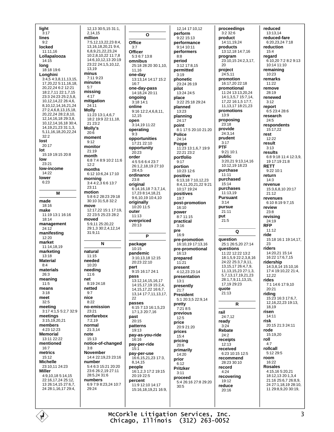light  $\overline{3:}17$ lines  $9.2$ **Incked** 11:11.16 Lollapalooza  $14:15$ long  $18.18196$ Longhini 3:4,5 4:3,8,11,13,15, 17,20,22 5:11,16,18, 20,22,24 6:2 12:21 18:2,7,11 22:1,7,15 23:3 24:23 25:2,5,8, 10,12,14,22 26:4,6, 8, 10, 12, 14, 16, 21, 24 27:2468131518 20 22 24 28 2 8 10 12.14.16.18 29:3.8. 10.12.14.16.18 30:4 14.19.21.23 31:1.3. 5, 11, 16, 18, 20, 22, 24  $32:2$ lost 20:17 lot 15:19 19:15 20:8 low 23:21 low-income  $14.22$ lower  $6.23$ M made 18:16 make 11:19 13:1 16:16 18:14 management  $24:12$ manifesting  $12:20$ market  $11.14$  18 19 marketing  $13:18$ **Material**  $8:4$ materials  $26.3$ meaning  $11:5$ means  $3.18$ meet  $32:5$ meeting 3:17 4:1,5 5:2,7 32:9 meetings 3:15,19,20.21 members 4:23 12:23 **Memorial** 13:11 22:22 mentioned  $16.7$ metrics 15:12 **Michelle** 23:10 11 24:23 **Miller** 4:9,10,18 5:14,15 22:16,17,24 25:12, 13 26:14, 15 27:6, 7, 24 28:1,16,17 29:4,

12,13 30:5,15 31:1, 2.14.15 million 7:5,12,13,22,23 8:4, 13.16.18.20.21 9:4. 68921222324  $10.28102211.78$ 14:6.10.12.13 20:19 23:22 24:1,5,10,12, 1319 minus 7:11 9:23 minutes  $5.7$ missing  $4:17$ mitigation  $24:11$ **Molly** 11:23 13:1,4,6,7 18:2 19:9 22:11.18. 21 23:2 Molly's  $20:6$ moment  $9.12$ monitor 21:19 month 6:8 7:4 8:9 10:2 11:6  $12.2$ months 6:12 10:6,24 17:10 morning 3:4 4:2,3 6:6 13:7 23:11 motion 5.8 6.2 28.23 29.18 30:10 31:5.8 32:2 move 12:17,22 15:1 17:19, 22 23:5 25:23 28:2 moved 5:9.11 25:20.22 29:1.3 30:2.4.12.14  $31.911$ N natural  $11:15$ needed 10:20 needing  $11.6$ net 8:19 24:18 netted  $9.7$ nice  $8:22$ no-emission  $23.21$ nonfarebox  $7:2.19$ normal 21:3.14 note  $15:13$ notice-of-changed  $3.8$ **November** 14:4 22:19,23 23:16 number 5:4 6:3 15:21 20:20 23:6 26:2 19 27:11 28:5.24 31:6 numbers 6:9 7:9 8:23,24 10:7  $29.24$ 

 $\Omega$ Office  $3:7$ Officer 5:3 6:7 13:8 omnibus 25:18.28:20.30:1.10 11,16 one-day 13:13,14 14:17 15:2  $16.7$ one-day-pass  $14.18$  24 20.11 ongoing  $3:18$  14:1 online  $9:16$  12:2,4,6,8,11, 12.15 open 3:14,19 11:22 operating  $9.3$ opportunities  $17.2122.10$ opportunity 20:23 order 4:5 5:6 6:4 23:7 26:1,2,18,19 27:10  $28.4.5$ ordinance 23:8 original 6:14, 16, 18 7: 3, 7, 14, 17,23 8:14,18,21 9:6,10,19 10:4,10 originally 10:20 11:5 outer  $11:13$ overpriced  $20.13$ P package  $10.15$ pandemic 3:10,13,18 12:15 20:23 22:10 part 9:15 16:17 24:1 pass 13:12,14,15,16.17 14:15,17,19 15:2,4, 14, 15, 17, 22 16: 6, 7, 13, 14 17: 7, 11, 13, 17, 22 passes 6:15 7:13 16:1.5.23 17:1,3 20:7,16 past  $20:15$ patterns  $19:13$ pay-as-you-ride  $16.16$ pay-per-ride 15:1 pay-per-use 16:6, 15, 21, 23 17:3. 8 14 15 people 16:1,2,3 17:2 19:15 20:19 22:5 percent 11:9 12:10 14:17 15:16 18 19 21 16:9

12.14 17:10.12 perform 9:22 15:13 performance  $9.1410.11$ performers  $R \cdot R$ period 3:12 17:8.15 permitted  $3.19$ phonetic 23:24 26:19 pilot  $13.2424.5$ place 3:22 25:18 29:24 planned  $13.23$ planning  $24.17$ point 8:1 17:5 20:10 21:20 **Police**  $24.14$ Poppe 11:23 13:1,6,7 19:9 22:21 23:2 portfolio  $9.17$ portion  $10.23126$ positive 6:13,18 7:10,12,23 8:4,11,20,21,229:21  $10:17$  19:24 positives  $10.7$ post-promotion  $16:10$ power  $8.711.15$ practical  $3.16$ pre  $16.9$ pre-promotion 16:10.19 17:13 16 pre-promotional 16:13 prepared  $11:21$ present 4:12,23 23:14 presentation  $13.1$ presently  $21.7$ **President** 5:1 20:3,5 22:9,14 pretty  $7:21$  8:5 previous  $12 - 5$ price 20:9 21:20 prices  $15.4$ pricing  $20:6$ primarily 14:20 prior  $6:12$ **Pritzker**  $3:11$ proceed 5:4 26:16 27:8 29:20  $30.5$ 

proceedings 3:2 32:6 product 14:11 19 24 products 13:12 18 14:7 16 program 23:10,15 24:2,3,17,  $20$ project  $24.511$ promotion 16:17,20 22:18 promotional 11:24 13:13.20.24 14:1,3,5,7 15:7,14,  $17.22.16.15.17.7$ 11 13 17 18 21 23 promotions 13:9 proposing  $23:18$ provide 24:3,14 prudent  $3:17$ **PTF** 9:21 10:1 public 3:20,21 9:13,14,16 10:12,19 18:23 purchase  $11.11$ purchased  $15:14$ purchases 11:13.19 **Pursuant**  $3:14$ pursue  $21:11$ put  $21:5$ Q **auestion** 25.1 26.5 20 27.14 questions 11:22 12:22 13:2 18:1,5,9 22:2,3,8,16 24:22 25:3,7,9,11, 13, 15, 17 26: 4, 7, 9, 11, 13, 15, 23 27: 1, 3, 5,7,13,17,19,21,23 28:1,7,9,11,13,15, 17,19 29:23 quote  $21.13$ R rail 24:7.12 ready  $3.24$ Rebate  $24.2$ receipts  $12.13$ received 6:23 10:15 12:5 recommend 28:23 30:10 record  $4.24$ recovering  $19.12$ reduce 20:16

reduced 13:13.14 reduced-fare 6:20 23 24 7:18 reduction  $15 \cdot 4$ regard 6:10,20 7:2 8:2 9:13  $10.141110$ remaining  $10.23$ remarks  $11:22$ remove  $28.19$ renewed  $3.12$ report 6:5 23:4 28:6 research  $24.5$ respondents 15:17.22 rest  $12:22$ result  $3:13$ results 6:8 9:18 11:4 12:3,9, 19 17 19 21 8 **RETT**  $9.2210.1$ return  $14:3$ revenue 15:3,6,8,10 20:17  $21:12$ revenues 6:10 8:19 9:7.15 review  $23.8$ revising 24:19 **RFP**  $11.12$ ride 15:18 16:1 19:14,17, 23 riders 14:20,21 15:14 16:22 17:6,7,15 ridership 14:3,8,14 15:10,16 17:4 19:10,22 21:4, 12.22 rides 7.1 14.6 17.9 10  $20.21$ riding<br>15:23 16:3 17:6,7, 12, 16, 22, 23 19: 13, 18.19 risen  $14.11$ risk 20:15 21:3 24:11 rode 15:19.20 roll  $4:7$ rollcall  $5.12295$ room  $16.22$ **Rosales** 4:15,16 5:20,21 18:12,13 20:1,3,4 21:16 25:6,7 26:8,9, 24 27:1,18,19 28:10, 11 29:8,9,20 30:19,

McCorkle Litigation Services, Inc. Chicago, Illinois (312) 263-0052